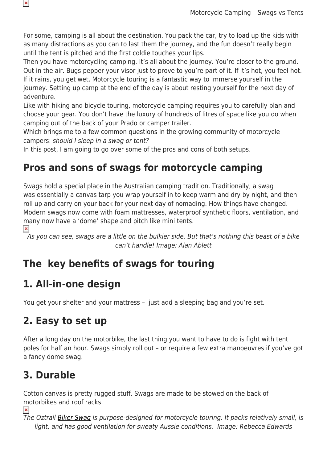For some, camping is all about the destination. You pack the car, try to load up the kids with as many distractions as you can to last them the journey, and the fun doesn't really begin until the tent is pitched and the first coldie touches your lips.

Then you have motorcycling camping. It's all about the journey. You're closer to the ground. Out in the air. Bugs pepper your visor just to prove to you're part of it. If it's hot, you feel hot. If it rains, you get wet. Motorcycle touring is a fantastic way to immerse yourself in the journey. Setting up camp at the end of the day is about resting yourself for the next day of adventure.

Like with hiking and bicycle touring, motorcycle camping requires you to carefully plan and choose your gear. You don't have the luxury of hundreds of litres of space like you do when camping out of the back of your Prado or camper trailer.

Which brings me to a few common questions in the growing community of motorcycle campers: should I sleep in a swag or tent?

In this post, I am going to go over some of the pros and cons of both setups.

## **Pros and sons of swags for motorcycle camping**

Swags hold a special place in the Australian camping tradition. Traditionally, a swag was essentially a canvas tarp you wrap yourself in to keep warm and dry by night, and then roll up and carry on your back for your next day of nomading. How things have changed. Modern swags now come with foam mattresses, waterproof synthetic floors, ventilation, and many now have a 'dome' shape and pitch like mini tents.

 $\pmb{\times}$ 

 $\pmb{\times}$ 

As you can see, swags are a little on the bulkier side. But that's nothing this beast of a bike can't handle! Image: Alan Ablett

#### **The key benefits of swags for touring**

#### **1. All-in-one design**

You get your shelter and your mattress – just add a sleeping bag and you're set.

#### **2. Easy to set up**

After a long day on the motorbike, the last thing you want to have to do is fight with tent poles for half an hour. Swags simply roll out – or require a few extra manoeuvres if you've got a fancy dome swag.

## **3. Durable**

Cotton canvas is pretty rugged stuff. Swags are made to be stowed on the back of motorbikes and roof racks.

 $\pmb{\times}$ 

The Oztrail [Biker Swag](https://www.snowys.com.au/biker-expedition-swag) is purpose-designed for motorcycle touring. It packs relatively small, is light, and has good ventilation for sweaty Aussie conditions. Image: Rebecca Edwards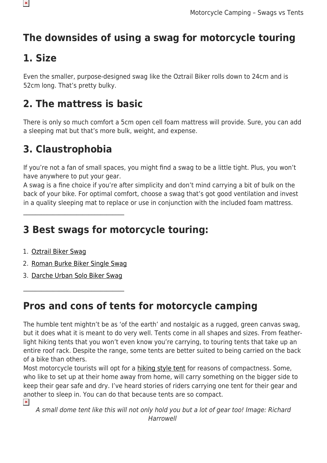# **The downsides of using a swag for motorcycle touring**

## **1. Size**

 $\pmb{\times}$ 

Even the smaller, purpose-designed swag like the Oztrail Biker rolls down to 24cm and is 52cm long. That's pretty bulky.

## **2. The mattress is basic**

There is only so much comfort a 5cm open cell foam mattress will provide. Sure, you can add a sleeping mat but that's more bulk, weight, and expense.

#### **3. Claustrophobia**

If you're not a fan of small spaces, you might find a swag to be a little tight. Plus, you won't have anywhere to put your gear.

A swag is a fine choice if you're after simplicity and don't mind carrying a bit of bulk on the back of your bike. For optimal comfort, choose a swag that's got good ventilation and invest in a quality sleeping mat to replace or use in conjunction with the included foam mattress.

## **3 Best swags for motorcycle touring:**

- 1. [Oztrail Biker Swag](https://www.snowys.com.au/biker-expedition-swag)
- 2. [Roman Burke Biker Single Swag](https://www.snowys.com.au/burke-biker-swag)

 $\mathcal{L}_\text{max}$  , where  $\mathcal{L}_\text{max}$  and  $\mathcal{L}_\text{max}$  and  $\mathcal{L}_\text{max}$ 

3. [Darche Urban Solo Biker Swag](https://www.snowys.com.au/ranger-solo-biker-swag)

 $\mathcal{L}_\text{max}$  , where  $\mathcal{L}_\text{max}$  and  $\mathcal{L}_\text{max}$  and  $\mathcal{L}_\text{max}$ 

## **Pros and cons of tents for motorcycle camping**

The humble tent mightn't be as 'of the earth' and nostalgic as a rugged, green canvas swag, but it does what it is meant to do very well. Tents come in all shapes and sizes. From featherlight hiking tents that you won't even know you're carrying, to touring tents that take up an entire roof rack. Despite the range, some tents are better suited to being carried on the back of a bike than others.

Most motorcycle tourists will opt for a [hiking style tent](https://www.snowys.com.au/hiking-tents) for reasons of compactness. Some, who like to set up at their home away from home, will carry something on the bigger side to keep their gear safe and dry. I've heard stories of riders carrying one tent for their gear and another to sleep in. You can do that because tents are so compact.

 $\pmb{\times}$ A small dome tent like this will not only hold you but a lot of gear too! Image: Richard Harrowell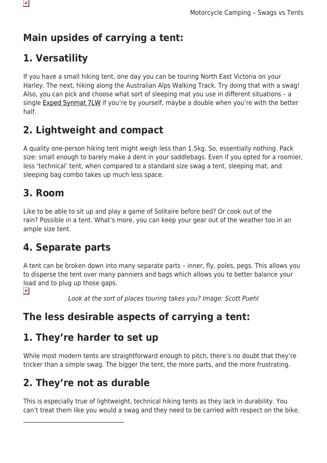## **Main upsides of carrying a tent:**

## **1. Versatility**

If you have a small hiking tent, one day you can be touring North East Victoria on your Harley. The next, hiking along the Australian Alps Walking Track. Try doing that with a swag! Also, you can pick and choose what sort of sleeping mat you use in different situations – a single [Exped Synmat 7LW](https://www.snowys.com.au/synmat-7lw-sleeping-mat) if you're by yourself, maybe a double when you're with the better half.

## **2. Lightweight and compact**

A quality one-person hiking tent might weigh less than 1.5kg. So, essentially nothing. Pack size: small enough to barely make a dent in your saddlebags. Even if you opted for a roomier, less 'technical' tent, when compared to a standard size swag a tent, sleeping mat, and sleeping bag combo takes up much less space.

#### **3. Room**

Like to be able to sit up and play a game of Solitaire before bed? Or cook out of the rain? Possible in a tent. What's more, you can keep your gear out of the weather too in an ample size tent.

#### **4. Separate parts**

A tent can be broken down into many separate parts – inner, fly, poles, pegs. This allows you to disperse the tent over many panniers and bags which allows you to better balance your load and to plug up those gaps.

 $\pmb{\times}$ 

Look at the sort of places touring takes you? Image: Scott Puehl

# **The less desirable aspects of carrying a tent:**

#### **1. They're harder to set up**

While most modern tents are straightforward enough to pitch, there's no doubt that they're tricker than a simple swag. The bigger the tent, the more parts, and the more frustrating.

# **2. They're not as durable**

 $\mathcal{L}_\text{max}$  , where  $\mathcal{L}_\text{max}$  and  $\mathcal{L}_\text{max}$  and  $\mathcal{L}_\text{max}$ 

This is especially true of lightweight, technical hiking tents as they lack in durability. You can't treat them like you would a swag and they need to be carried with respect on the bike.